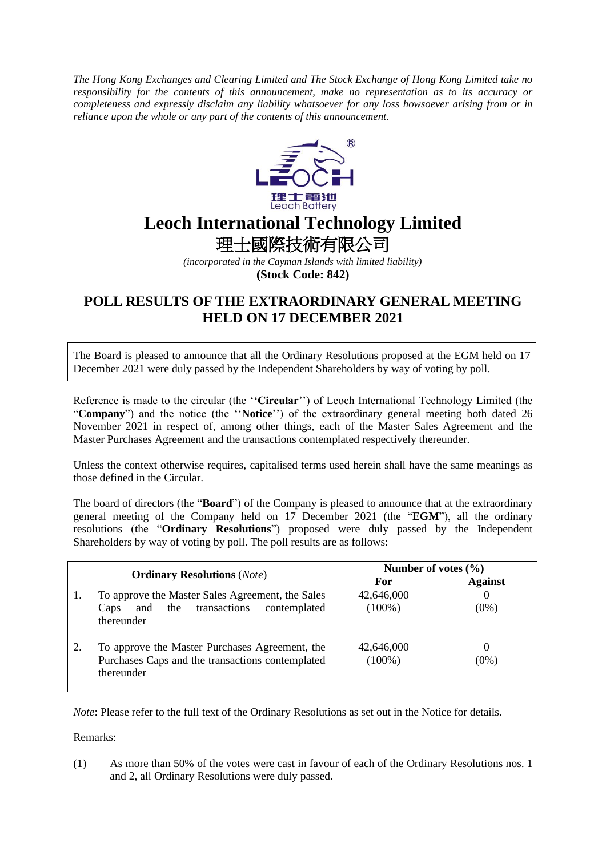*The Hong Kong Exchanges and Clearing Limited and The Stock Exchange of Hong Kong Limited take no responsibility for the contents of this announcement, make no representation as to its accuracy or completeness and expressly disclaim any liability whatsoever for any loss howsoever arising from or in reliance upon the whole or any part of the contents of this announcement.*



## **Leoch International Technology Limited**

理士國際技術有限公司

*(incorporated in the Cayman Islands with limited liability)*

**(Stock Code: 842)**

## **POLL RESULTS OF THE EXTRAORDINARY GENERAL MEETING HELD ON 17 DECEMBER 2021**

The Board is pleased to announce that all the Ordinary Resolutions proposed at the EGM held on 17 December 2021 were duly passed by the Independent Shareholders by way of voting by poll.

Reference is made to the circular (the '**'Circular**'') of Leoch International Technology Limited (the "**Company**") and the notice (the ''**Notice**'') of the extraordinary general meeting both dated 26 November 2021 in respect of, among other things, each of the Master Sales Agreement and the Master Purchases Agreement and the transactions contemplated respectively thereunder.

Unless the context otherwise requires, capitalised terms used herein shall have the same meanings as those defined in the Circular.

The board of directors (the "**Board**") of the Company is pleased to announce that at the extraordinary general meeting of the Company held on 17 December 2021 (the "**EGM**"), all the ordinary resolutions (the "**Ordinary Resolutions**") proposed were duly passed by the Independent Shareholders by way of voting by poll. The poll results are as follows:

| <b>Ordinary Resolutions</b> (Note) |                                                                                                                  | Number of votes $(\% )$ |                |
|------------------------------------|------------------------------------------------------------------------------------------------------------------|-------------------------|----------------|
|                                    |                                                                                                                  | For                     | <b>Against</b> |
|                                    | To approve the Master Sales Agreement, the Sales<br>the transactions contemplated<br>and<br>Caps<br>thereunder   | 42,646,000<br>$(100\%)$ | $(0\%)$        |
| 2.                                 | To approve the Master Purchases Agreement, the<br>Purchases Caps and the transactions contemplated<br>thereunder | 42,646,000<br>$(100\%)$ | $(0\%)$        |

*Note*: Please refer to the full text of the Ordinary Resolutions as set out in the Notice for details.

Remarks:

(1) As more than 50% of the votes were cast in favour of each of the Ordinary Resolutions nos. 1 and 2, all Ordinary Resolutions were duly passed.